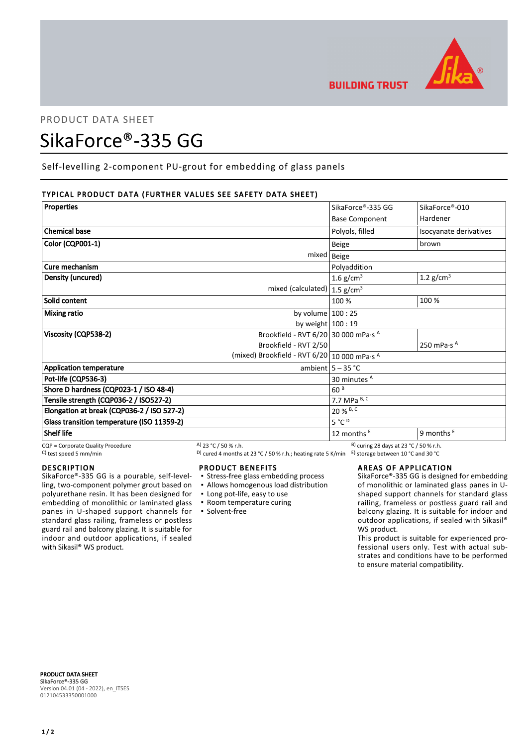

# PRODUCT DATA SHEET

# SikaForce®-335 GG

Self-levelling 2-component PU-grout for embedding of glass panels

# TYPICAL PRODUCT DATA (FURTHER VALUES SEE SAFETY DATA SHEET)

| <b>Properties</b>                          |                                              | SikaForce®-335 GG       | SikaForce®-010                  |
|--------------------------------------------|----------------------------------------------|-------------------------|---------------------------------|
|                                            |                                              | <b>Base Component</b>   | Hardener                        |
| <b>Chemical base</b>                       |                                              | Polyols, filled         | Isocyanate derivatives          |
| Color (CQP001-1)                           |                                              | <b>Beige</b>            | brown                           |
|                                            | mixed   Beige                                |                         |                                 |
| Cure mechanism                             |                                              | Polyaddition            |                                 |
| Density (uncured)                          |                                              | 1.6 g/cm <sup>3</sup>   | 1.2 $g/cm3$                     |
|                                            | mixed (calculated) $ 1.5$ g/cm <sup>3</sup>  |                         |                                 |
| Solid content                              |                                              | 100 %                   | 100 %                           |
| <b>Mixing ratio</b>                        | by volume $100:25$                           |                         |                                 |
|                                            | by weight $100:19$                           |                         |                                 |
| Viscosity (CQP538-2)                       | Brookfield - RVT 6/20 30 000 mPa·s A         |                         |                                 |
|                                            | Brookfield - RVT 2/50                        |                         | 250 mPa $\cdot$ s $^{\text{A}}$ |
|                                            | (mixed) Brookfield - RVT 6/20 10 000 mPa·s A |                         |                                 |
| <b>Application temperature</b>             |                                              | ambient $5 - 35$ °C     |                                 |
| Pot-life (CQP536-3)                        |                                              | 30 minutes <sup>A</sup> |                                 |
| Shore D hardness (CQP023-1 / ISO 48-4)     |                                              | 60 <sup>B</sup>         |                                 |
| Tensile strength (CQP036-2 / ISO527-2)     |                                              | 7.7 MPa B, C            |                                 |
| Elongation at break (CQP036-2 / ISO 527-2) |                                              | 20 % B, C               |                                 |
| Glass transition temperature (ISO 11359-2) |                                              | $5^{\circ}C^{D}$        |                                 |
| <b>Shelf life</b>                          |                                              | 12 months $E$           | 9 months $E$                    |

## DESCRIPTION

SikaForce®-335 GG is a pourable, self-levelling, two-component polymer grout based on polyurethane resin. It has been designed for embedding of monolithic or laminated glass panes in U-shaped support channels for standard glass railing, frameless or postless guard rail and balcony glazing. It is suitable for indoor and outdoor applications, if sealed with Sikasil<sup>®</sup> WS product.

 $COP =$ Corporate Quality Procedure  $A)$  23 °C / 50 % r.h. B) curing 28 days at 23 °C / 50 % r.h.

C) test speed 5 mm/min D) cured 4 months at 23 °C / 50 % r.h.; heating rate 5 K/min E) storage between 10 °C and 30 °C

### PRODUCT BENEFITS

- **Stress-free glass embedding process**
- Allows homogenous load distribution
- Long pot-life, easy to use
- Room temperature curing
- Solvent-free

# AREAS OF APPLICATION

SikaForce®-335 GG is designed for embedding of monolithic or laminated glass panes in Ushaped support channels for standard glass railing, frameless or postless guard rail and balcony glazing. It is suitable for indoor and outdoor applications, if sealed with Sikasil® WS product.

This product is suitable for experienced professional users only. Test with actual substrates and conditions have to be performed to ensure material compatibility.